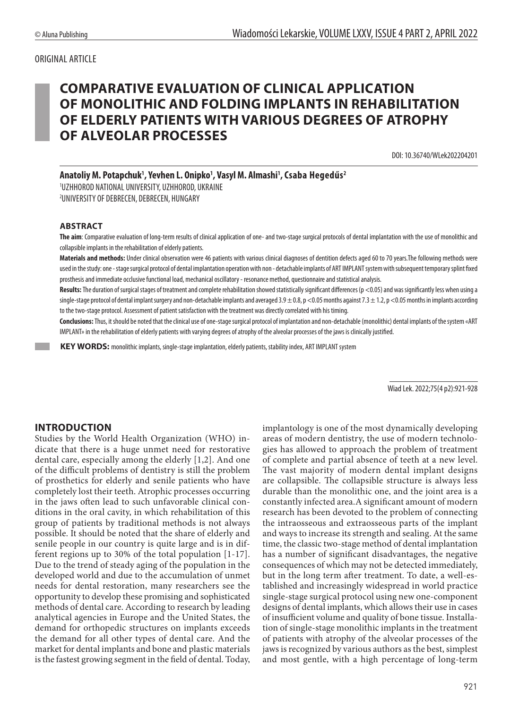#### ORIGINAL ARTICLE

# **COMPARATIVE EVALUATION OF CLINICAL APPLICATION OF MONOLITHIC AND FOLDING IMPLANTS IN REHABILITATION OF ELDERLY PATIENTS WITH VARIOUS DEGREES OF ATROPHY OF ALVEOLAR PROCESSES**

DOI: 10.36740/WLek202204201

Anatoliy M. Potapchuk<sup>1</sup>, Yevhen L. Onipko<sup>1</sup>, Vasyl M. Almashi<sup>1</sup>, Csaba Hegedűs<sup>2</sup>

1 UZHHOROD NATIONAL UNIVERSITY, UZHHOROD, UKRAINE 2 UNIVERSITY OF DEBRECEN, DEBRECEN, HUNGARY

#### **ABSTRACT**

**The aim**: Comparative evaluation of long-term results of clinical application of one- and two-stage surgical protocols of dental implantation with the use of monolithic and collapsible implants in the rehabilitation of elderly patients.

**Materials and methods:** Under clinical observation were 46 patients with various clinical diagnoses of dentition defects aged 60 to 70 years.The following methods were used in the study: one - stage surgical protocol of dental implantation operation with non - detachable implants of ART IMPLANT system with subsequent temporary splint fixed prosthesis and immediate occlusive functional load, mechanical oscillatory - resonance method, questionnaire and statistical analysis.

Results: The duration of surgical stages of treatment and complete rehabilitation showed statistically significant differences (p <0.05) and was significantly less when using a single-stage protocol of dental implant surgery and non-detachable implants and averaged  $3.9 \pm 0.8$ , p <0.05 months against  $7.3 \pm 1.2$ , p <0.05 months in implants according to the two-stage protocol. Assessment of patient satisfaction with the treatment was directly correlated with his timing.

**Conclusions:** Thus, it should be noted that the clinical use of one-stage surgical protocol of implantation and non-detachable (monolithic) dental implants of the system «ART IMPLANT» in the rehabilitation of elderly patients with varying degrees of atrophy of the alveolar processes of the jaws is clinically justified.

 **KEY WORDS:** monolithic implants, single-stage implantation, elderly patients, stability index, ART IMPLANT system

Wiad Lek. 2022;75(4 p2):921-928

#### **INTRODUCTION**

Studies by the World Health Organization (WHO) indicate that there is a huge unmet need for restorative dental care, especially among the elderly [1,2]. And one of the difficult problems of dentistry is still the problem of prosthetics for elderly and senile patients who have completely lost their teeth. Atrophic processes occurring in the jaws often lead to such unfavorable clinical conditions in the oral cavity, in which rehabilitation of this group of patients by traditional methods is not always possible. It should be noted that the share of elderly and senile people in our country is quite large and is in different regions up to 30% of the total population [1-17]. Due to the trend of steady aging of the population in the developed world and due to the accumulation of unmet needs for dental restoration, many researchers see the opportunity to develop these promising and sophisticated methods of dental care. According to research by leading analytical agencies in Europe and the United States, the demand for orthopedic structures on implants exceeds the demand for all other types of dental care. And the market for dental implants and bone and plastic materials is the fastest growing segment in the field of dental. Today, implantology is one of the most dynamically developing areas of modern dentistry, the use of modern technologies has allowed to approach the problem of treatment of complete and partial absence of teeth at a new level. The vast majority of modern dental implant designs are collapsible. The collapsible structure is always less durable than the monolithic one, and the joint area is a constantly infected area.A significant amount of modern research has been devoted to the problem of connecting the intraosseous and extraosseous parts of the implant and ways to increase its strength and sealing. At the same time, the classic two-stage method of dental implantation has a number of significant disadvantages, the negative consequences of which may not be detected immediately, but in the long term after treatment. To date, a well-established and increasingly widespread in world practice single-stage surgical protocol using new one-component designs of dental implants, which allows their use in cases of insufficient volume and quality of bone tissue. Installation of single-stage monolithic implants in the treatment of patients with atrophy of the alveolar processes of the jaws is recognized by various authors as the best, simplest and most gentle, with a high percentage of long-term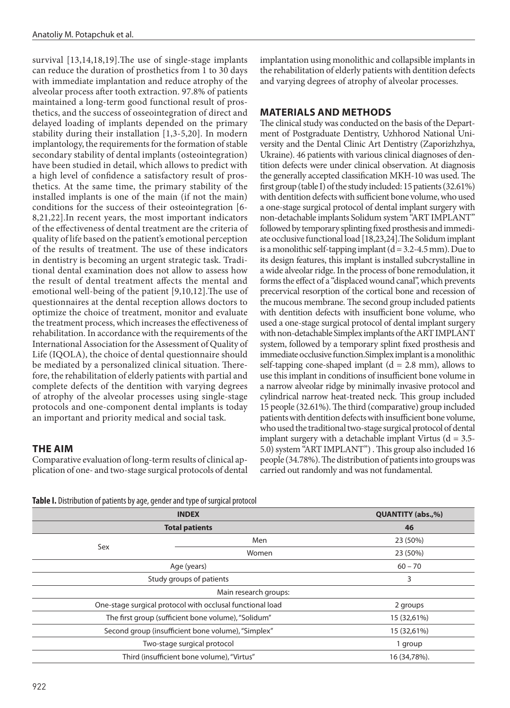survival [13,14,18,19].The use of single-stage implants can reduce the duration of prosthetics from 1 to 30 days with immediate implantation and reduce atrophy of the alveolar process after tooth extraction. 97.8% of patients maintained a long-term good functional result of prosthetics, and the success of osseointegration of direct and delayed loading of implants depended on the primary stability during their installation [1,3-5,20]. In modern implantology, the requirements for the formation of stable secondary stability of dental implants (osteointegration) have been studied in detail, which allows to predict with a high level of confidence a satisfactory result of prosthetics. At the same time, the primary stability of the installed implants is one of the main (if not the main) conditions for the success of their osteointegration [6- 8,21,22].In recent years, the most important indicators of the effectiveness of dental treatment are the criteria of quality of life based on the patient's emotional perception of the results of treatment. The use of these indicators in dentistry is becoming an urgent strategic task. Traditional dental examination does not allow to assess how the result of dental treatment affects the mental and emotional well-being of the patient [9,10,12].The use of questionnaires at the dental reception allows doctors to optimize the choice of treatment, monitor and evaluate the treatment process, which increases the effectiveness of rehabilitation. In accordance with the requirements of the International Association for the Assessment of Quality of Life (IQOLA), the choice of dental questionnaire should be mediated by a personalized clinical situation. Therefore, the rehabilitation of elderly patients with partial and complete defects of the dentition with varying degrees of atrophy of the alveolar processes using single-stage protocols and one-component dental implants is today an important and priority medical and social task.

## **THE AIM**

Comparative evaluation of long-term results of clinical application of one- and two-stage surgical protocols of dental implantation using monolithic and collapsible implants in the rehabilitation of elderly patients with dentition defects and varying degrees of atrophy of alveolar processes.

#### **MATERIALS AND METHODS**

The clinical study was conducted on the basis of the Department of Postgraduate Dentistry, Uzhhorod National University and the Dental Clinic Art Dentistry (Zaporizhzhya, Ukraine). 46 patients with various clinical diagnoses of dentition defects were under clinical observation. At diagnosis the generally accepted classification MKH-10 was used. The first group (table I) of the study included: 15 patients (32.61%) with dentition defects with sufficient bone volume, who used a one-stage surgical protocol of dental implant surgery with non-detachable implants Solidum system "ART IMPLANT" followed by temporary splinting fixed prosthesis and immediate occlusive functional load [18,23,24].The Solidum implant is a monolithic self-tapping implant  $(d = 3.2 - 4.5$  mm). Due to its design features, this implant is installed subcrystalline in a wide alveolar ridge. In the process of bone remodulation, it forms the effect of a "displaced wound canal", which prevents precervical resorption of the cortical bone and recession of the mucous membrane. The second group included patients with dentition defects with insufficient bone volume, who used a one-stage surgical protocol of dental implant surgery with non-detachable Simplex implants of the ART IMPLANT system, followed by a temporary splint fixed prosthesis and immediate occlusive function.Simplex implant is a monolithic self-tapping cone-shaped implant  $(d = 2.8 \text{ mm})$ , allows to use this implant in conditions of insufficient bone volume in a narrow alveolar ridge by minimally invasive protocol and cylindrical narrow heat-treated neck. This group included 15 people (32.61%). The third (comparative) group included patients with dentition defects with insufficient bone volume, who used the traditional two-stage surgical protocol of dental implant surgery with a detachable implant Virtus  $(d = 3.5 -$ 5.0) system "ART IMPLANT") . This group also included 16 people (34.78%). The distribution of patients into groups was carried out randomly and was not fundamental.

**Table I.** Distribution of patients by age, gender and type of surgical protocol

|                                                                       | <b>QUANTITY (abs.,%)</b>                           |          |  |  |
|-----------------------------------------------------------------------|----------------------------------------------------|----------|--|--|
| <b>Total patients</b>                                                 |                                                    | 46       |  |  |
|                                                                       | Men                                                | 23 (50%) |  |  |
| Sex                                                                   | Women                                              | 23 (50%) |  |  |
|                                                                       | $60 - 70$                                          |          |  |  |
| Study groups of patients                                              |                                                    | 3        |  |  |
| Main research groups:                                                 |                                                    |          |  |  |
| One-stage surgical protocol with occlusal functional load<br>2 groups |                                                    |          |  |  |
| The first group (sufficient bone volume), "Solidum"                   | 15 (32,61%)                                        |          |  |  |
|                                                                       | Second group (insufficient bone volume), "Simplex" |          |  |  |
| Two-stage surgical protocol                                           | 1 group                                            |          |  |  |
| Third (insufficient bone volume), "Virtus"                            | 16 (34,78%).                                       |          |  |  |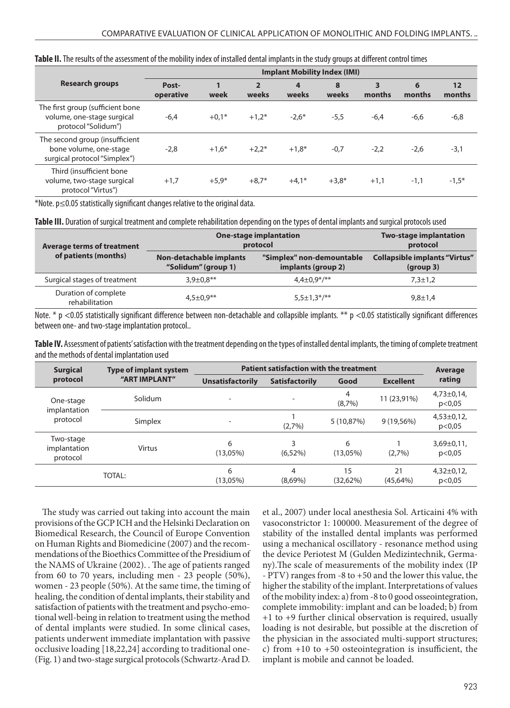|                                                                                          | <b>Implant Mobility Index (IMI)</b> |         |                         |            |            |             |             |              |
|------------------------------------------------------------------------------------------|-------------------------------------|---------|-------------------------|------------|------------|-------------|-------------|--------------|
| <b>Research groups</b>                                                                   | Post-<br>operative                  | week    | $\overline{2}$<br>weeks | 4<br>weeks | 8<br>weeks | 3<br>months | 6<br>months | 12<br>months |
| The first group (sufficient bone<br>volume, one-stage surgical<br>protocol "Solidum")    | $-6,4$                              | $+0.1*$ | $+1.2*$                 | $-2.6*$    | $-5,5$     | $-6,4$      | $-6,6$      | $-6,8$       |
| The second group (insufficient<br>bone volume, one-stage<br>surgical protocol "Simplex") | $-2,8$                              | $+1,6*$ | $+2.2*$                 | $+1,8*$    | $-0,7$     | $-2,2$      | $-2,6$      | $-3,1$       |
| Third (insufficient bone<br>volume, two-stage surgical<br>protocol "Virtus")             | $+1,7$                              | $+5.9*$ | $+8,7*$                 | $+4,1*$    | $+3,8*$    | $+1,1$      | $-1,1$      | $-1,5*$      |

#### **Table II.** The results of the assessment of the mobility index of installed dental implants in the study groups at different control times

\*Note. p≤0.05 statistically significant changes relative to the original data.

**Table III.** Duration of surgical treatment and complete rehabilitation depending on the types of dental implants and surgical protocols used

| <b>Average terms of treatment</b>      | <b>One-stage implantation</b><br>protocol      | <b>Two-stage implantation</b><br>protocol       |                                                   |  |
|----------------------------------------|------------------------------------------------|-------------------------------------------------|---------------------------------------------------|--|
| of patients (months)                   | Non-detachable implants<br>"Solidum" (group 1) | "Simplex" non-demountable<br>implants (group 2) | <b>Collapsible implants "Virtus"</b><br>(group 3) |  |
| Surgical stages of treatment           | $3.9 \pm 0.8$ **                               | $4.4 \pm 0.9$ */**                              | $7.3 \pm 1.2$                                     |  |
| Duration of complete<br>rehabilitation | $4.5 \pm 0.9$ **                               | $5.5 \pm 1.3$ */**                              | $9,8 \pm 1,4$                                     |  |

Note. \* p <0.05 statistically significant difference between non-detachable and collapsible implants. \*\* p <0.05 statistically significant differences between one- and two-stage implantation protocol..

**Table IV.** Assessment of patients' satisfaction with the treatment depending on the types of installed dental implants, the timing of complete treatment and the methods of dental implantation used

| <b>Surgical</b>                       | <b>Type of implant system</b><br>"ART IMPLANT" | Patient satisfaction with the treatment | Average               |                  |                  |                           |
|---------------------------------------|------------------------------------------------|-----------------------------------------|-----------------------|------------------|------------------|---------------------------|
| protocol                              |                                                | <b>Unsatisfactorily</b>                 | <b>Satisfactorily</b> | Good             | <b>Excellent</b> | rating                    |
| One-stage<br>implantation<br>protocol | Solidum                                        |                                         |                       | 4<br>(8,7%)      | 11 (23,91%)      | $4,73\pm0,14$<br>p<0,05   |
|                                       | Simplex                                        | $\overline{\phantom{0}}$                | (2,7%)                | 5 (10,87%)       | $9(19,56\%)$     | $4,53\pm0,12,$<br>p<0,05  |
| Two-stage<br>implantation<br>protocol | Virtus                                         | 6<br>$(13,05\%)$                        | 3<br>$(6,52\%)$       | 6<br>$(13.05\%)$ | (2,7%)           | $3,69 \pm 0,11$<br>p<0,05 |
|                                       | TOTAL:                                         | 6<br>$(13,05\%)$                        | 4<br>$(8,69\%)$       | 15<br>(32.62%)   | 21<br>(45,64%)   | $4,32\pm0,12,$<br>p<0,05  |

The study was carried out taking into account the main provisions of the GCP ICH and the Helsinki Declaration on Biomedical Research, the Council of Europe Convention on Human Rights and Biomedicine (2007) and the recommendations of the Bioethics Committee of the Presidium of the NAMS of Ukraine (2002). . The age of patients ranged from 60 to 70 years, including men - 23 people (50%), women - 23 people (50%). At the same time, the timing of healing, the condition of dental implants, their stability and satisfaction of patients with the treatment and psycho-emotional well-being in relation to treatment using the method of dental implants were studied. In some clinical cases, patients underwent immediate implantation with passive occlusive loading [18,22,24] according to traditional one- (Fig. 1) and two-stage surgical protocols (Schwartz-Arad D. et al., 2007) under local anesthesia Sol. Articaini 4% with vasoconstrictor 1: 100000. Measurement of the degree of stability of the installed dental implants was performed using a mechanical oscillatory - resonance method using the device Periotest M (Gulden Medizintechnik, Germany).The scale of measurements of the mobility index (IP - PTV) ranges from -8 to +50 and the lower this value, the higher the stability of the implant. Interpretations of values of the mobility index: a) from -8 to 0 good osseointegration, complete immobility: implant and can be loaded; b) from +1 to +9 further clinical observation is required, usually loading is not desirable, but possible at the discretion of the physician in the associated multi-support structures; c) from +10 to +50 osteointegration is insufficient, the implant is mobile and cannot be loaded.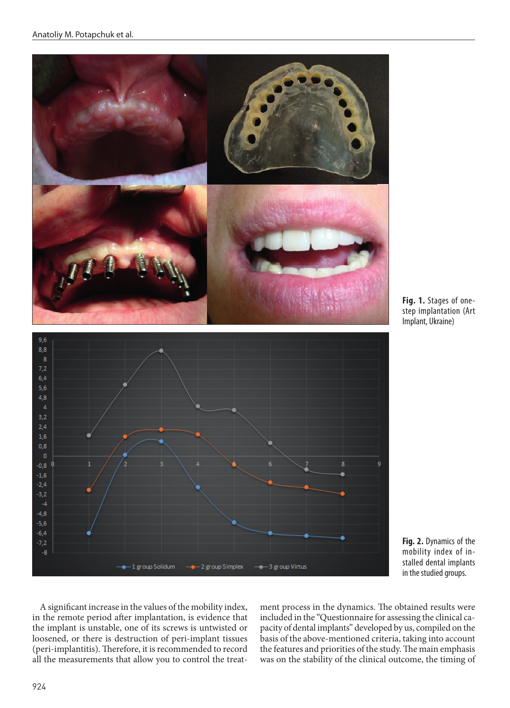





**Fig. 2.** Dynamics of the mobility index of installed dental implants in the studied groups.

A significant increase in the values of the mobility index, in the remote period after implantation, is evidence that the implant is unstable, one of its screws is untwisted or loosened, or there is destruction of peri-implant tissues (peri-implantitis). Therefore, it is recommended to record all the measurements that allow you to control the treatment process in the dynamics. The obtained results were included in the "Questionnaire for assessing the clinical capacity of dental implants" developed by us, compiled on the basis of the above-mentioned criteria, taking into account the features and priorities of the study. The main emphasis was on the stability of the clinical outcome, the timing of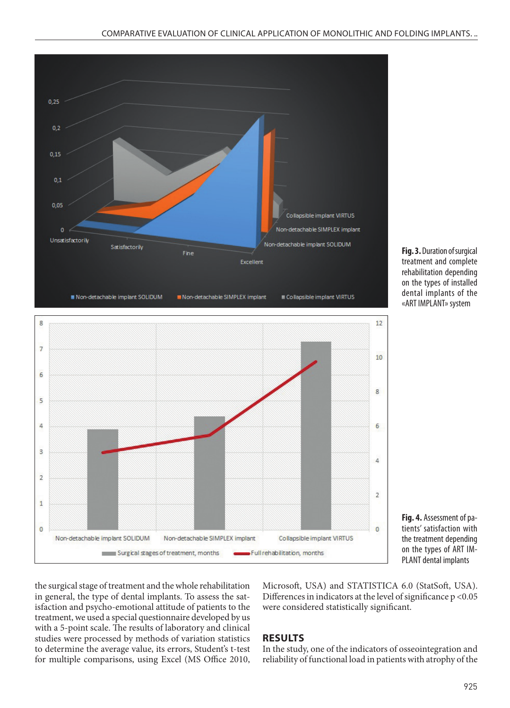

**Fig. 3.** Duration of surgical treatment and complete rehabilitation depending on the types of installed dental implants of the «ART IMPLANT» system



**Fig. 4.** Assessment of patients' satisfaction with the treatment depending on the types of ART IM-PLANT dental implants

the surgical stage of treatment and the whole rehabilitation in general, the type of dental implants. To assess the satisfaction and psycho-emotional attitude of patients to the treatment, we used a special questionnaire developed by us with a 5-point scale. The results of laboratory and clinical studies were processed by methods of variation statistics to determine the average value, its errors, Student's t-test for multiple comparisons, using Excel (MS Office 2010, Microsoft, USA) and STATISTICA 6.0 (StatSoft, USA). Differences in indicators at the level of significance p <0.05 were considered statistically significant.

#### **RESULTS**

In the study, one of the indicators of osseointegration and reliability of functional load in patients with atrophy of the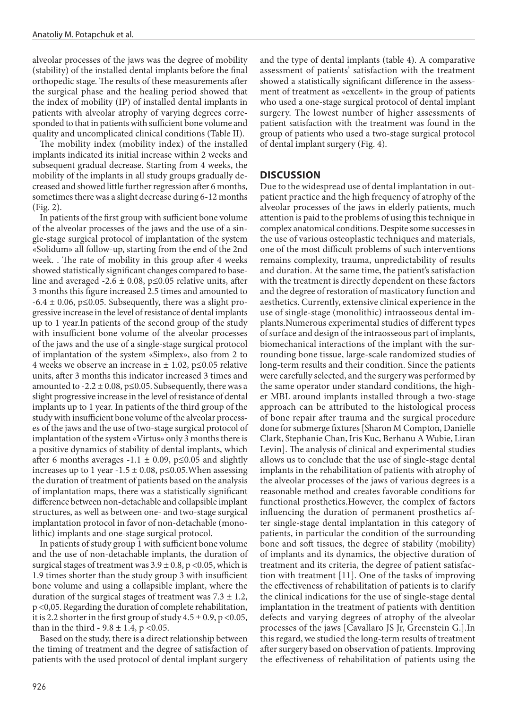alveolar processes of the jaws was the degree of mobility (stability) of the installed dental implants before the final orthopedic stage. The results of these measurements after the surgical phase and the healing period showed that the index of mobility (IP) of installed dental implants in patients with alveolar atrophy of varying degrees corresponded to that in patients with sufficient bone volume and quality and uncomplicated clinical conditions (Table II).

The mobility index (mobility index) of the installed implants indicated its initial increase within 2 weeks and subsequent gradual decrease. Starting from 4 weeks, the mobility of the implants in all study groups gradually decreased and showed little further regression after 6 months, sometimes there was a slight decrease during 6-12 months (Fig. 2).

In patients of the first group with sufficient bone volume of the alveolar processes of the jaws and the use of a single-stage surgical protocol of implantation of the system «Solidum» all follow-up, starting from the end of the 2nd week. . The rate of mobility in this group after 4 weeks showed statistically significant changes compared to baseline and averaged -2.6  $\pm$  0.08, p ≤0.05 relative units, after 3 months this figure increased 2.5 times and amounted to  $-6.4 \pm 0.06$ , p $\leq 0.05$ . Subsequently, there was a slight progressive increase in the level of resistance of dental implants up to 1 year.In patients of the second group of the study with insufficient bone volume of the alveolar processes of the jaws and the use of a single-stage surgical protocol of implantation of the system «Simplex», also from 2 to 4 weeks we observe an increase in  $\pm$  1.02, p $\leq$ 0.05 relative units, after 3 months this indicator increased 3 times and amounted to  $-2.2 \pm 0.08$ , p $\leq 0.05$ . Subsequently, there was a slight progressive increase in the level of resistance of dental implants up to 1 year. In patients of the third group of the study with insufficient bone volume of the alveolar processes of the jaws and the use of two-stage surgical protocol of implantation of the system «Virtus» only 3 months there is a positive dynamics of stability of dental implants, which after 6 months averages  $-1.1 \pm 0.09$ , p  $\leq 0.05$  and slightly increases up to 1 year -1.5 ± 0.08, p≤0.05.When assessing the duration of treatment of patients based on the analysis of implantation maps, there was a statistically significant difference between non-detachable and collapsible implant structures, as well as between one- and two-stage surgical implantation protocol in favor of non-detachable (monolithic) implants and one-stage surgical protocol.

In patients of study group 1 with sufficient bone volume and the use of non-detachable implants, the duration of surgical stages of treatment was  $3.9 \pm 0.8$ , p < 0.05, which is 1.9 times shorter than the study group 3 with insufficient bone volume and using a collapsible implant, where the duration of the surgical stages of treatment was  $7.3 \pm 1.2$ , p <0,05. Regarding the duration of complete rehabilitation, it is 2.2 shorter in the first group of study  $4.5 \pm 0.9$ , p < 0.05, than in the third  $-9.8 \pm 1.4$ , p < 0.05.

Based on the study, there is a direct relationship between the timing of treatment and the degree of satisfaction of patients with the used protocol of dental implant surgery

and the type of dental implants (table 4). A comparative assessment of patients' satisfaction with the treatment showed a statistically significant difference in the assessment of treatment as «excellent» in the group of patients who used a one-stage surgical protocol of dental implant surgery. The lowest number of higher assessments of patient satisfaction with the treatment was found in the group of patients who used a two-stage surgical protocol of dental implant surgery (Fig. 4).

#### **DISCUSSION**

Due to the widespread use of dental implantation in outpatient practice and the high frequency of atrophy of the alveolar processes of the jaws in elderly patients, much attention is paid to the problems of using this technique in complex anatomical conditions. Despite some successes in the use of various osteoplastic techniques and materials, one of the most difficult problems of such interventions remains complexity, trauma, unpredictability of results and duration. At the same time, the patient's satisfaction with the treatment is directly dependent on these factors and the degree of restoration of masticatory function and aesthetics. Currently, extensive clinical experience in the use of single-stage (monolithic) intraosseous dental implants.Numerous experimental studies of different types of surface and design of the intraosseous part of implants, biomechanical interactions of the implant with the surrounding bone tissue, large-scale randomized studies of long-term results and their condition. Since the patients were carefully selected, and the surgery was performed by the same operator under standard conditions, the higher MBL around implants installed through a two-stage approach can be attributed to the histological process of bone repair after trauma and the surgical procedure done for submerge fixtures [Sharon M Compton, Danielle Clark, Stephanie Chan, Iris Kuc, Berhanu A Wubie, Liran Levin]. The analysis of clinical and experimental studies allows us to conclude that the use of single-stage dental implants in the rehabilitation of patients with atrophy of the alveolar processes of the jaws of various degrees is a reasonable method and creates favorable conditions for functional prosthetics.However, the complex of factors influencing the duration of permanent prosthetics after single-stage dental implantation in this category of patients, in particular the condition of the surrounding bone and soft tissues, the degree of stability (mobility) of implants and its dynamics, the objective duration of treatment and its criteria, the degree of patient satisfaction with treatment [11]. One of the tasks of improving the effectiveness of rehabilitation of patients is to clarify the clinical indications for the use of single-stage dental implantation in the treatment of patients with dentition defects and varying degrees of atrophy of the alveolar processes of the jaws [Cavallaro JS Jr, Greenstein G.].In this regard, we studied the long-term results of treatment after surgery based on observation of patients. Improving the effectiveness of rehabilitation of patients using the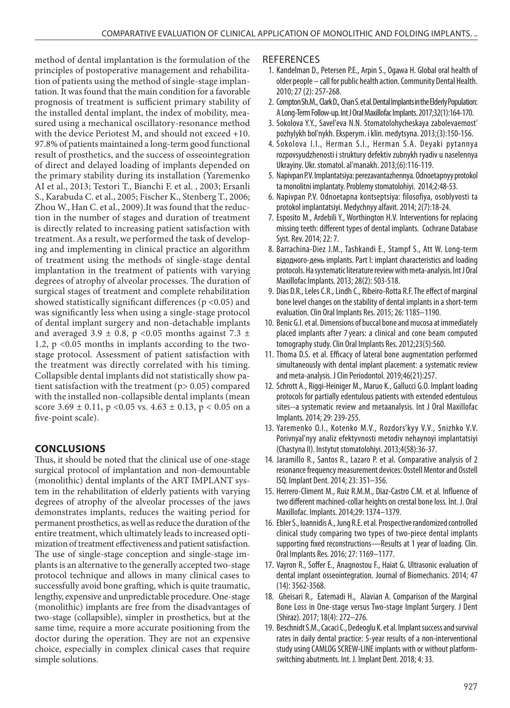method of dental implantation is the formulation of the principles of postoperative management and rehabilitation of patients using the method of single-stage implantation. It was found that the main condition for a favorable prognosis of treatment is sufficient primary stability of the installed dental implant, the index of mobility, measured using a mechanical oscillatory-resonance method with the device Periotest M, and should not exceed +10. 97.8% of patients maintained a long-term good functional result of prosthetics, and the success of osseointegration of direct and delayed loading of implants depended on the primary stability during its installation (Yaremenko AI et al., 2013; Testori T., Bianchi F. et al. , 2003; Ersanli S., Karabuda C. et al., 2005; Fischer K., Stenberg T., 2006; Zhou W., Han C. et al., 2009).It was found that the reduction in the number of stages and duration of treatment is directly related to increasing patient satisfaction with treatment. As a result, we performed the task of developing and implementing in clinical practice an algorithm of treatment using the methods of single-stage dental implantation in the treatment of patients with varying degrees of atrophy of alveolar processes. The duration of surgical stages of treatment and complete rehabilitation showed statistically significant differences ( $p$  <0.05) and was significantly less when using a single-stage protocol of dental implant surgery and non-detachable implants and averaged 3.9  $\pm$  0.8, p <0.05 months against 7.3  $\pm$ 1.2,  $p \le 0.05$  months in implants according to the twostage protocol. Assessment of patient satisfaction with the treatment was directly correlated with his timing. Collapsible dental implants did not statistically show patient satisfaction with the treatment ( $p$  > 0.05) compared with the installed non-collapsible dental implants (mean score  $3.69 \pm 0.11$ , p < 0.05 vs.  $4.63 \pm 0.13$ , p < 0.05 on a five-point scale).

## **CONCLUSIONS**

Thus, it should be noted that the clinical use of one-stage surgical protocol of implantation and non-demountable (monolithic) dental implants of the ART IMPLANT system in the rehabilitation of elderly patients with varying degrees of atrophy of the alveolar processes of the jaws demonstrates implants, reduces the waiting period for permanent prosthetics, as well as reduce the duration of the entire treatment, which ultimately leads to increased optimization of treatment effectiveness and patient satisfaction. The use of single-stage conception and single-stage implants is an alternative to the generally accepted two-stage protocol technique and allows in many clinical cases to successfully avoid bone grafting, which is quite traumatic, lengthy, expensive and unpredictable procedure. One-stage (monolithic) implants are free from the disadvantages of two-stage (collapsible), simpler in prosthetics, but at the same time, require a more accurate positioning from the doctor during the operation. They are not an expensive choice, especially in complex clinical cases that require simple solutions.

#### **REFERENCES**

- 1. Kandelman D., Petersen P.E., Arpin S., Ogawa H. Global oral health of older people – call for public health action. Community Dental Health. 2010; 27 (2): 257-268.
- 2. Compton Sh.M., Clark D., Chan S. et al. Dental Implants in the Elderly Population: A Long-Term Follow-up. Int J Oral Maxillofac Implants. 2017;32(1):164-170.
- 3. Sokolova Y.Y., Savel'eva N.N. Stomatolohycheskaya zabolevaemost' pozhylykh bol'nykh. Eksperym. i klin. medytsyna. 2013;(3):150-156.
- 4. Sokolova I.I., Herman S.I., Herman S.A. Deyaki pytannya rozpovsyudzhenosti i struktury defektiv zubnykh ryadiv u naselennya Ukrayiny. Ukr. stomatol. al'manakh. 2013;(6):116-119.
- 5. Napivpan P.V. Implantatsiya: perezavantazhennya. Odnoetapnyy protokol ta monolitni implantaty. Problemy stomatolohiyi. 2014;2:48-53.
- 6. Napivpan P.V. Odnoetapna kontseptsiya: filosofiya, osoblyvosti ta protokol implantatsiyi. Medychnyy alfavit. 2014; 2(7):18-24.
- 7. Esposito M., Ardebili Y., Worthington H.V. Interventions for replacing missing teeth: different types of dental implants. Cochrane Database Syst. Rev. 2014; 22: 7.
- 8. Barrachina-Diez J.M., Tashkandi E., Stampf S., Att W. Long-term відодного-день implants. Part I: implant characteristics and loading protocols. На systematic literature review with meta-analysis. Int J Oral Maxillofac Implants. 2013; 28(2): 503-518.
- 9. Dias D.R., Leles C.R., Lindh C., Ribeiro-Rotta R.F. The effect of marginal bone level changes on the stability of dental implants in a short-term evaluation. Clin Oral Implants Res. 2015; 26: 1185–1190.
- 10. Benic G.I. et al. Dimensions of buccal bone and mucosa at immediately placed implants after 7years: a clinical and cone beam computed tomography study. Clin Oral Implants Res. 2012;23(5):560.
- 11. Thoma D.S. et al. Efficacy of lateral bone augmentation performed simultaneously with dental implant placement: a systematic review and meta-analysis. J Clin Periodontol. 2019;46(21):257.
- 12. Schrott A., Riggi-Heiniger M., Maruo K., Gallucci G.O. Implant loading protocols for partially edentulous patients with extended edentulous sites--a systematic review and metaanalysis. Int J Oral Maxillofac Implants. 2014; 29: 239-255.
- 13. Yaremenko O.I., Kotenko M.V., Rozdors'kyy V.V., Snizhko V.V. Porivnyal'nyy analiz efektyvnosti metodiv nehaynoyi implantatsiyi (Chastyna II). Instytut stomatolohiyi. 2013;4(58):36-37.
- 14. Jaramillo R., Santos R., Lazaro P. et al. Comparative analysis of 2 resonance frequency measurement devices: Osstell Mentor and Osstell ISQ. Implant Dent. 2014; 23: 351–356.
- 15. Herrero-Climent M., Ruiz R.M.M., Diaz-Castro C.M. et al. Influence of two different machined-collar heights on crestal bone loss. Int. J. Oral Maxillofac. Implants. 2014;29: 1374–1379.
- 16. Ebler S., Ioannidis A., Jung R.E. et al. Prospective randomized controlled clinical study comparing two types of two-piece dental implants supporting fixed reconstructions—Results at 1 year of loading. Clin. Oral Implants Res. 2016; 27: 1169–1177.
- 17. Vayron R., Soffer E., Anagnostou F., Haiat G. Ultrasonic evaluation of dental implant osseointegration. Journal of Biomechanics. 2014; 47 (14): 3562-3568.
- 18. Gheisari R., Eatemadi H., Alavian A. Comparison of the Marginal Bone Loss in One-stage versus Two-stage Implant Surgery. J Dent (Shiraz). 2017; 18(4): 272–276.
- 19. Beschnidt S.M., Cacaci C., Dedeoglu K. et al. Implant success and survival rates in daily dental practice: 5-year results of a non-interventional study using CAMLOG SCREW-LINE implants with or without platformswitching abutments. Int. J. Implant Dent. 2018; 4: 33.